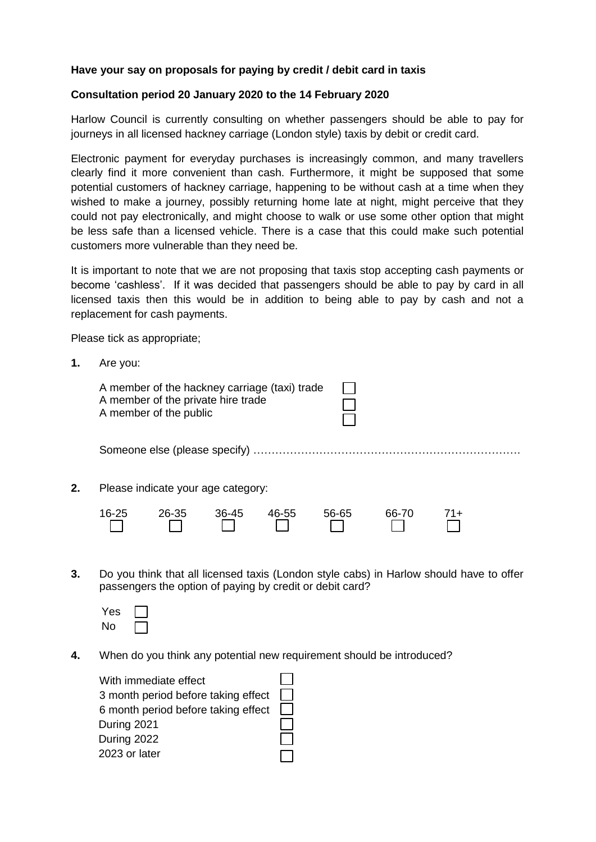## **Have your say on proposals for paying by credit / debit card in taxis**

## **Consultation period 20 January 2020 to the 14 February 2020**

Harlow Council is currently consulting on whether passengers should be able to pay for journeys in all licensed hackney carriage (London style) taxis by debit or credit card.

Electronic payment for everyday purchases is increasingly common, and many travellers clearly find it more convenient than cash. Furthermore, it might be supposed that some potential customers of hackney carriage, happening to be without cash at a time when they wished to make a journey, possibly returning home late at night, might perceive that they could not pay electronically, and might choose to walk or use some other option that might be less safe than a licensed vehicle. There is a case that this could make such potential customers more vulnerable than they need be.

It is important to note that we are not proposing that taxis stop accepting cash payments or become 'cashless'. If it was decided that passengers should be able to pay by card in all licensed taxis then this would be in addition to being able to pay by cash and not a replacement for cash payments.

Please tick as appropriate;

**1.** Are you:

|    |           | A member of the hackney carriage (taxi) trade<br>A member of the private hire trade<br>A member of the public |         |       |       |       |     |  |
|----|-----------|---------------------------------------------------------------------------------------------------------------|---------|-------|-------|-------|-----|--|
|    |           |                                                                                                               |         |       |       |       |     |  |
| 2. |           | Please indicate your age category:                                                                            |         |       |       |       |     |  |
|    | $16 - 25$ | 26-35                                                                                                         | $36-45$ | 46-55 | 56-65 | 66-70 | 71+ |  |

**3.** Do you think that all licensed taxis (London style cabs) in Harlow should have to offer passengers the option of paying by credit or debit card?

| Yes |  |
|-----|--|
| No  |  |

**4.** When do you think any potential new requirement should be introduced?

| With immediate effect               |  |
|-------------------------------------|--|
| 3 month period before taking effect |  |
| 6 month period before taking effect |  |
| During 2021                         |  |
| During 2022                         |  |
| 2023 or later                       |  |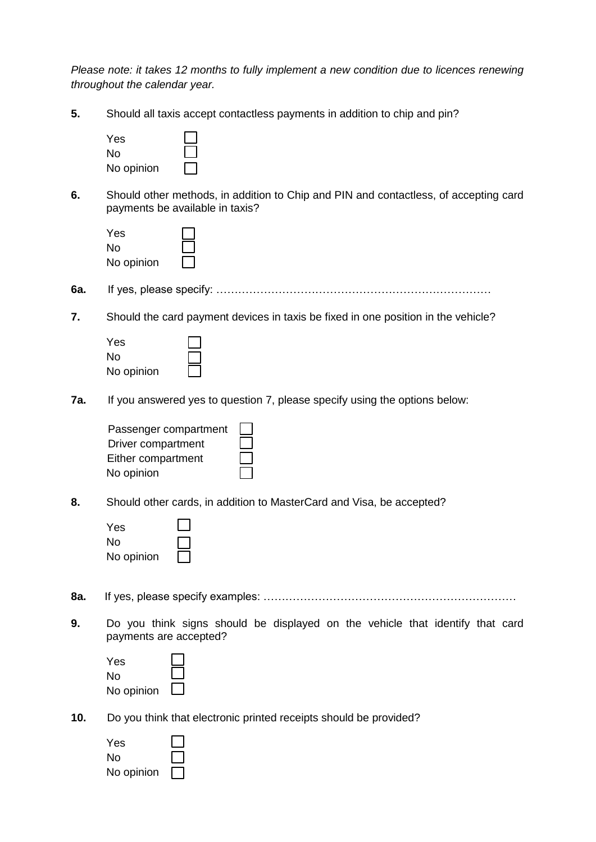*Please note: it takes 12 months to fully implement a new condition due to licences renewing throughout the calendar year.*

**5.** Should all taxis accept contactless payments in addition to chip and pin?

| Yes        |  |
|------------|--|
| No.        |  |
| No opinion |  |

**6.** Should other methods, in addition to Chip and PIN and contactless, of accepting card payments be available in taxis?

| Yes        |  |
|------------|--|
| No         |  |
| No opinion |  |

**6a.** If yes, please specify: …………………………………………………………………

**7.** Should the card payment devices in taxis be fixed in one position in the vehicle?

| Yes        |  |
|------------|--|
| N٥         |  |
| No opinion |  |

**7a.** If you answered yes to question 7, please specify using the options below:

| Passenger compartment |  |
|-----------------------|--|
| Driver compartment    |  |
| Either compartment    |  |
| No opinion            |  |

**8.** Should other cards, in addition to MasterCard and Visa, be accepted?

| Yes        |  |
|------------|--|
| N٥         |  |
| No opinion |  |

- **8a.** If yes, please specify examples: ……………………………………………………………
- **9.** Do you think signs should be displayed on the vehicle that identify that card payments are accepted?

| Yes        |  |
|------------|--|
| N٥         |  |
| No opinion |  |

**10.** Do you think that electronic printed receipts should be provided?

| Yes        |  |
|------------|--|
| Nο         |  |
| No opinion |  |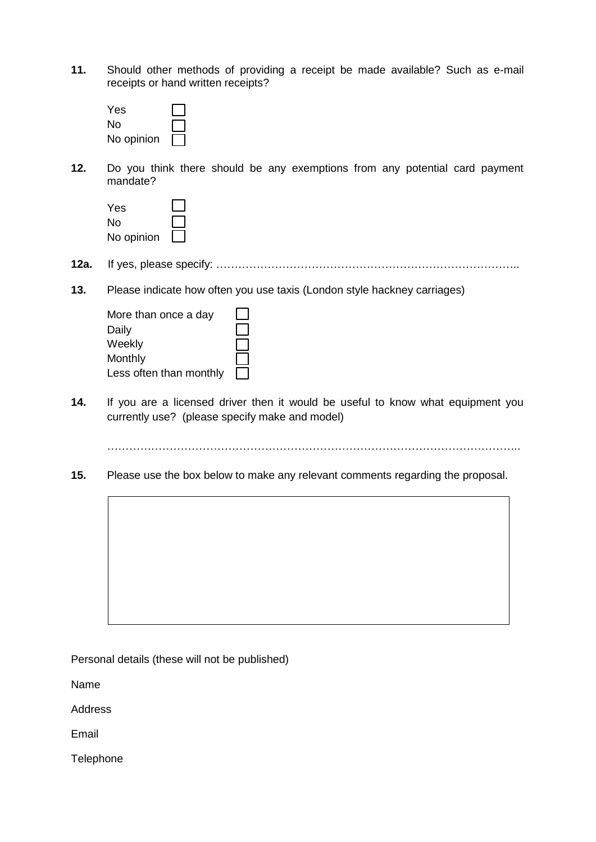**11.** Should other methods of providing a receipt be made available? Such as e-mail receipts or hand written receipts?

| Yes        |  |
|------------|--|
| N٥         |  |
| No opinion |  |

**12.** Do you think there should be any exemptions from any potential card payment mandate?

| Yes        |  |
|------------|--|
| N٥         |  |
| No opinion |  |

- **12a.** If yes, please specify: ………………………………………………………………………..
- **13.** Please indicate how often you use taxis (London style hackney carriages)

| More than once a day    |  |
|-------------------------|--|
| Daily                   |  |
| Weekly                  |  |
| Monthly                 |  |
| Less often than monthly |  |

**14.** If you are a licensed driver then it would be useful to know what equipment you currently use? (please specify make and model)

…………………………………………………………………………………………………..

**15.** Please use the box below to make any relevant comments regarding the proposal.

Personal details (these will not be published)

Name

**Address** 

Email

Telephone